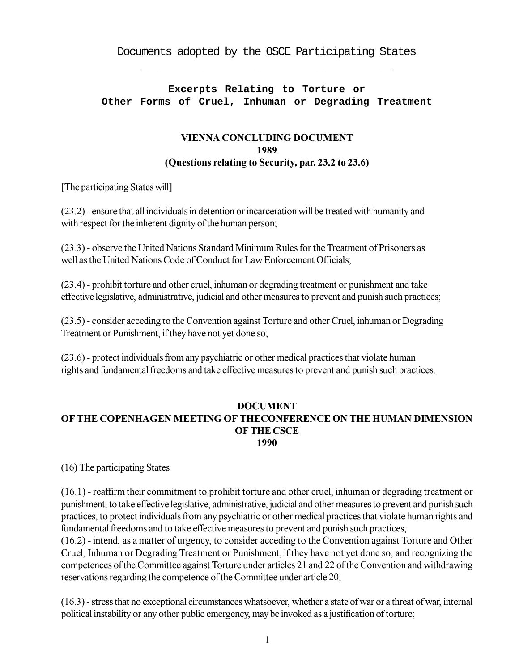Documents adopted by the OSCE Participating States \_\_\_\_\_\_\_\_\_\_\_\_\_\_\_\_\_\_\_\_\_\_\_\_\_\_\_\_\_\_\_\_\_\_\_\_\_\_\_\_\_\_\_\_\_\_\_\_\_

#### **Excerpts Relating to Torture or Other Forms of Cruel, Inhuman or Degrading Treatment**

## VIENNA CONCLUDING DOCUMENT 1989 (Questions relating to Security, par. 23.2 to 23.6)

[The participating States will]

(23.2) - ensure that all individuals in detention or incarceration will be treated with humanity and with respect for the inherent dignity of the human person;

(23.3) - observe the United Nations Standard Minimum Rules for the Treatment of Prisoners as well as the United Nations Code of Conduct for Law Enforcement Officials;

(23.4) - prohibit torture and other cruel, inhuman or degrading treatment or punishment and take effective legislative, administrative, judicial and other measures to prevent and punish such practices;

(23.5) - consider acceding to the Convention against Torture and other Cruel, inhuman or Degrading Treatment or Punishment, if they have not yet done so;

(23.6) - protect individuals from any psychiatric or other medical practices that violate human rights and fundamental freedoms and take effective measures to prevent and punish such practices.

#### DOCUMENT OF THE COPENHAGEN MEETING OF THECONFERENCE ON THE HUMAN DIMENSION OF THE CSCE 1990

(16) The participating States

(16.1) - reaffirm their commitment to prohibit torture and other cruel, inhuman or degrading treatment or punishment, to take effective legislative, administrative, judicial and other measures to prevent and punish such practices, to protect individuals from any psychiatric or other medical practices that violate human rights and fundamental freedoms and to take effective measures to prevent and punish such practices;

(16.2) - intend, as a matter of urgency, to consider acceding to the Convention against Torture and Other Cruel, Inhuman or Degrading Treatment or Punishment, if they have not yet done so, and recognizing the competences of the Committee against Torture under articles 21 and 22 of the Convention and withdrawing reservations regarding the competence of the Committee under article 20;

(16.3) - stress that no exceptional circumstances whatsoever, whether a state of war or a threat of war, internal political instability or any other public emergency, may be invoked as a justification of torture;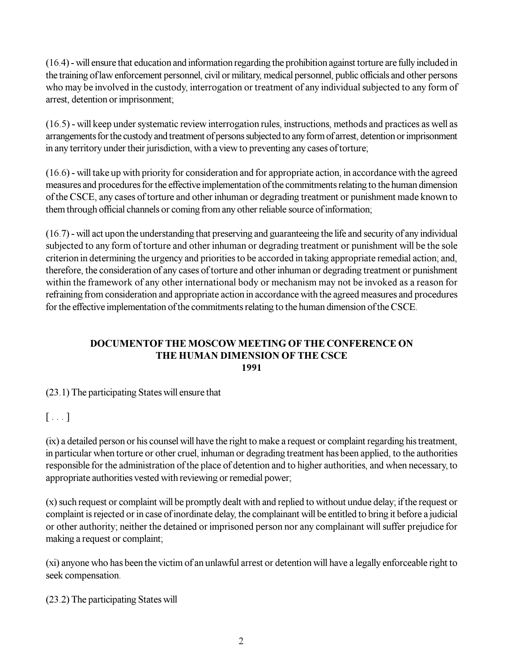(16.4) - will ensure that education and information regarding the prohibition against torture are fully included in the training of law enforcement personnel, civil or military, medical personnel, public officials and other persons who may be involved in the custody, interrogation or treatment of any individual subjected to any form of arrest, detention or imprisonment;

(16.5) - will keep under systematic review interrogation rules, instructions, methods and practices as well as arrangements for the custody and treatment of persons subjected to any form of arrest, detention or imprisonment in any territory under their jurisdiction, with a view to preventing any cases of torture;

(16.6) - will take up with priority for consideration and for appropriate action, in accordance with the agreed measures and procedures for the effective implementation of the commitments relating to the human dimension of the CSCE, any cases of torture and other inhuman or degrading treatment or punishment made known to them through official channels or coming from any other reliable source of information;

(16.7) - will act upon the understanding that preserving and guaranteeing the life and security of any individual subjected to any form of torture and other inhuman or degrading treatment or punishment will be the sole criterion in determining the urgency and priorities to be accorded in taking appropriate remedial action; and, therefore, the consideration of any cases of torture and other inhuman or degrading treatment or punishment within the framework of any other international body or mechanism may not be invoked as a reason for refraining from consideration and appropriate action in accordance with the agreed measures and procedures for the effective implementation of the commitments relating to the human dimension of the CSCE.

#### DOCUMENTOF THE MOSCOW MEETING OF THE CONFERENCE ON THE HUMAN DIMENSION OF THE CSCE 1991

(23.1) The participating States will ensure that

# $[\ldots]$

(ix) a detailed person or his counsel will have the right to make a request or complaint regarding his treatment, in particular when torture or other cruel, inhuman or degrading treatment has been applied, to the authorities responsible for the administration of the place of detention and to higher authorities, and when necessary, to appropriate authorities vested with reviewing or remedial power;

(x) such request or complaint will be promptly dealt with and replied to without undue delay; if the request or complaint is rejected or in case of inordinate delay, the complainant will be entitled to bring it before a judicial or other authority; neither the detained or imprisoned person nor any complainant will suffer prejudice for making a request or complaint;

(xi) anyone who has been the victim of an unlawful arrest or detention will have a legally enforceable right to seek compensation.

(23.2) The participating States will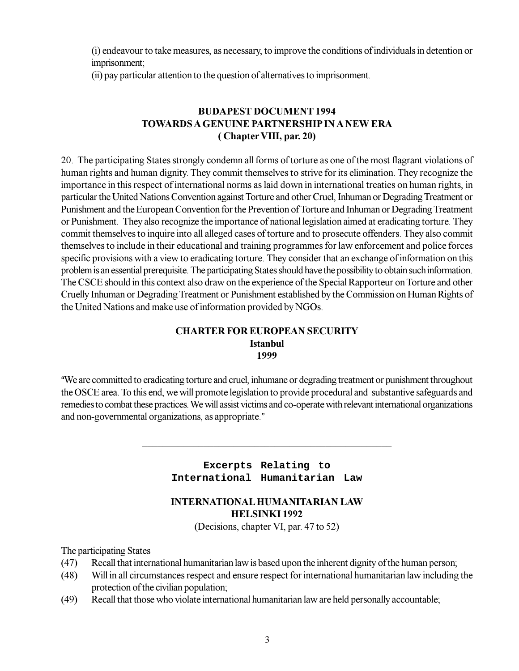(i) endeavour to take measures, as necessary, to improve the conditions of individuals in detention or imprisonment;

(ii) pay particular attention to the question of alternatives to imprisonment.

## BUDAPEST DOCUMENT 1994 TOWARDS A GENUINE PARTNERSHIP IN A NEW ERA ( Chapter VIII, par. 20)

20. The participating States strongly condemn all forms of torture as one of the most flagrant violations of human rights and human dignity. They commit themselves to strive for its elimination. They recognize the importance in this respect of international norms as laid down in international treaties on human rights, in particular the United Nations Convention against Torture and other Cruel, Inhuman or Degrading Treatment or Punishment and the European Convention for the Prevention of Torture and Inhuman or Degrading Treatment or Punishment. They also recognize the importance of national legislation aimed at eradicating torture. They commit themselves to inquire into all alleged cases of torture and to prosecute offenders. They also commit themselves to include in their educational and training programmes for law enforcement and police forces specific provisions with a view to eradicating torture. They consider that an exchange of information on this problem is an essential prerequisite. The participating States should have the possibility to obtain such information. The CSCE should in this context also draw on the experience of the Special Rapporteur on Torture and other Cruelly Inhuman or Degrading Treatment or Punishment established by the Commission on Human Rights of the United Nations and make use of information provided by NGOs.

## CHARTER FOR EUROPEAN SECURITY Istanbul 1999

AWe are committed to eradicating torture and cruel, inhumane or degrading treatment or punishment throughout the OSCE area. To this end, we will promote legislation to provide procedural and substantive safeguards and remedies to combat these practices. We will assist victims and co-operate with relevant international organizations and non-governmental organizations, as appropriate."

> **Excerpts Relating to International Humanitarian Law**

\_\_\_\_\_\_\_\_\_\_\_\_\_\_\_\_\_\_\_\_\_\_\_\_\_\_\_\_\_\_\_\_\_\_\_\_\_\_\_\_\_\_\_\_\_\_\_\_\_

## INTERNATIONAL HUMANITARIAN LAW HELSINKI 1992

(Decisions, chapter VI, par. 47 to 52)

The participating States

- (47) Recall that international humanitarian law is based upon the inherent dignity of the human person;
- (48) Will in all circumstances respect and ensure respect for international humanitarian law including the protection of the civilian population;
- (49) Recall that those who violate international humanitarian law are held personally accountable;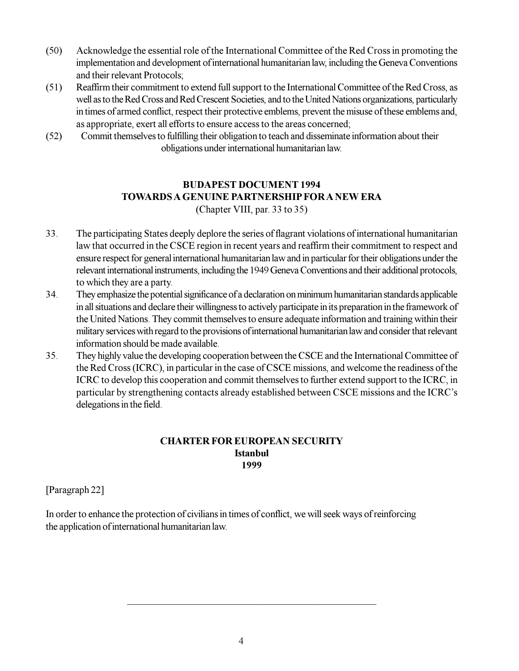- (50) Acknowledge the essential role of the International Committee of the Red Cross in promoting the implementation and development of international humanitarian law, including the Geneva Conventions and their relevant Protocols;
- (51) Reaffirm their commitment to extend full support to the International Committee of the Red Cross, as well as to the Red Cross and Red Crescent Societies, and to the United Nations organizations, particularly in times of armed conflict, respect their protective emblems, prevent the misuse of these emblems and, as appropriate, exert all efforts to ensure access to the areas concerned;
- (52) Commit themselves to fulfilling their obligation to teach and disseminate information about their obligations under international humanitarian law.

## BUDAPEST DOCUMENT 1994 TOWARDS A GENUINE PARTNERSHIP FOR A NEW ERA (Chapter VIII, par. 33 to 35)

33. The participating States deeply deplore the series of flagrant violations of international humanitarian law that occurred in the CSCE region in recent years and reaffirm their commitment to respect and ensure respect for general international humanitarian law and in particular for their obligations under the relevant international instruments, including the 1949 Geneva Conventions and their additional protocols, to which they are a party.

- 34. They emphasize the potential significance of a declaration on minimum humanitarian standards applicable in all situations and declare their willingness to actively participate in its preparation in the framework of the United Nations. They commit themselves to ensure adequate information and training within their military services with regard to the provisions of international humanitarian law and consider that relevant information should be made available.
- 35. They highly value the developing cooperation between the CSCE and the International Committee of the Red Cross (ICRC), in particular in the case of CSCE missions, and welcome the readiness of the ICRC to develop this cooperation and commit themselves to further extend support to the ICRC, in particular by strengthening contacts already established between CSCE missions and the ICRC's delegations in the field.

#### CHARTER FOR EUROPEAN SECURITY Istanbul 1999

[Paragraph 22]

In order to enhance the protection of civilians in times of conflict, we will seek ways of reinforcing the application of international humanitarian law.

\_\_\_\_\_\_\_\_\_\_\_\_\_\_\_\_\_\_\_\_\_\_\_\_\_\_\_\_\_\_\_\_\_\_\_\_\_\_\_\_\_\_\_\_\_\_\_\_\_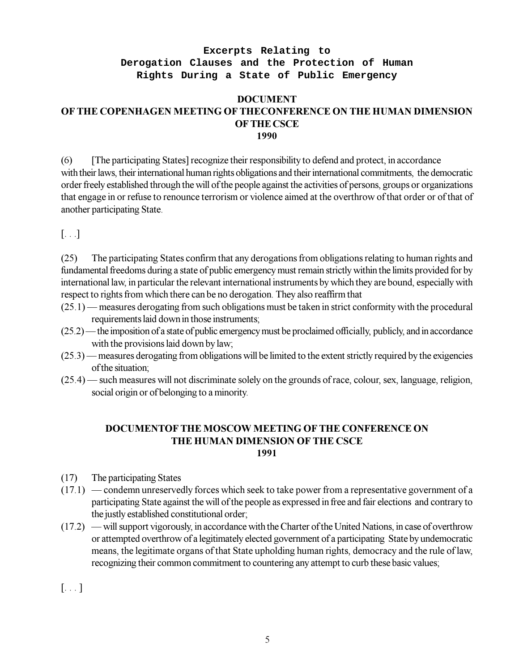#### **Excerpts Relating to Derogation Clauses and the Protection of Human Rights During a State of Public Emergency**

#### DOCUMENT OF THE COPENHAGEN MEETING OF THECONFERENCE ON THE HUMAN DIMENSION OF THE CSCE 1990

(6) [The participating States] recognize their responsibility to defend and protect, in accordance with their laws, their international human rights obligations and their international commitments, the democratic order freely established through the will of the people against the activities of persons, groups or organizations that engage in or refuse to renounce terrorism or violence aimed at the overthrow of that order or of that of another participating State.

 $[. \ . \ .]$ 

(25) The participating States confirm that any derogations from obligations relating to human rights and fundamental freedoms during a state of public emergency must remain strictly within the limits provided for by international law, in particular the relevant international instruments by which they are bound, especially with respect to rights from which there can be no derogation. They also reaffirm that

- (25.1) measures derogating from such obligations must be taken in strict conformity with the procedural requirements laid down in those instruments;
- (25.2) the imposition of a state of public emergency must be proclaimed officially, publicly, and in accordance with the provisions laid down by law;
- (25.3) measures derogating from obligations will be limited to the extent strictly required by the exigencies of the situation;
- (25.4) such measures will not discriminate solely on the grounds of race, colour, sex, language, religion, social origin or of belonging to a minority.

#### DOCUMENTOF THE MOSCOW MEETING OF THE CONFERENCE ON THE HUMAN DIMENSION OF THE CSCE 1991

- (17) The participating States
- $(17.1)$  condemn unreservedly forces which seek to take power from a representative government of a participating State against the will of the people as expressed in free and fair elections and contrary to the justly established constitutional order;
- (17.2) will support vigorously, in accordance with the Charter of the United Nations, in case of overthrow or attempted overthrow of a legitimately elected government of a participating State by undemocratic means, the legitimate organs of that State upholding human rights, democracy and the rule of law, recognizing their common commitment to countering any attempt to curb these basic values;

 $[\ldots]$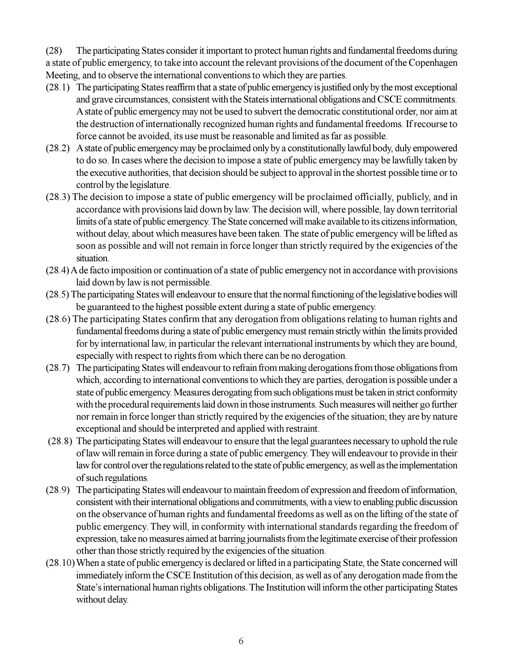(28) The participating States consider it important to protect human rights and fundamental freedoms during a state of public emergency, to take into account the relevant provisions of the document of the Copenhagen Meeting, and to observe the international conventions to which they are parties.

- (28.1) The participating States reaffirm that a state of public emergency is justified only by the most exceptional and grave circumstances, consistent with the Stateís international obligations and CSCE commitments. A state of public emergency may not be used to subvert the democratic constitutional order, nor aim at the destruction of internationally recognized human rights and fundamental freedoms. If recourse to force cannot be avoided, its use must be reasonable and limited as far as possible.
- (28.2) A state of public emergency may be proclaimed only by a constitutionally lawful body, duly empowered to do so. In cases where the decision to impose a state of public emergency may be lawfully taken by the executive authorities, that decision should be subject to approval in the shortest possible time or to control by the legislature.
- (28.3) The decision to impose a state of public emergency will be proclaimed officially, publicly, and in accordance with provisions laid down by law. The decision will, where possible, lay down territorial limits of a state of public emergency. The State concerned will make available to its citizens information, without delay, about which measures have been taken. The state of public emergency will be lifted as soon as possible and will not remain in force longer than strictly required by the exigencies of the situation.
- (28.4) A de facto imposition or continuation of a state of public emergency not in accordance with provisions laid down by law is not permissible.
- (28.5) The participating States will endeavour to ensure that the normal functioning of the legislative bodies will be guaranteed to the highest possible extent during a state of public emergency.
- (28.6) The participating States confirm that any derogation from obligations relating to human rights and fundamental freedoms during a state of public emergency must remain strictly within the limits provided for by international law, in particular the relevant international instruments by which they are bound, especially with respect to rights from which there can be no derogation.
- (28.7) The participating States will endeavour to refrain from making derogations from those obligations from which, according to international conventions to which they are parties, derogation is possible under a state of public emergency. Measures derogating from such obligations must be taken in strict conformity with the procedural requirements laid down in those instruments. Such measures will neither go further nor remain in force longer than strictly required by the exigencies of the situation; they are by nature exceptional and should be interpreted and applied with restraint.
- (28.8) The participating States will endeavour to ensure that the legal guarantees necessary to uphold the rule of law will remain in force during a state of public emergency. They will endeavour to provide in their law for control over the regulations related to the state of public emergency, as well as the implementation of such regulations.
- (28.9) The participating States will endeavour to maintain freedom of expression and freedom of information, consistent with their international obligations and commitments, with a view to enabling public discussion on the observance of human rights and fundamental freedoms as well as on the lifting of the state of public emergency. They will, in conformity with international standards regarding the freedom of expression, take no measures aimed at barring journalists from the legitimate exercise of their profession other than those strictly required by the exigencies of the situation.
- (28.10)When a state of public emergency is declared or lifted in a participating State, the State concerned will immediately inform the CSCE Institution of this decision, as well as of any derogation made from the State's international human rights obligations. The Institution will inform the other participating States without delay.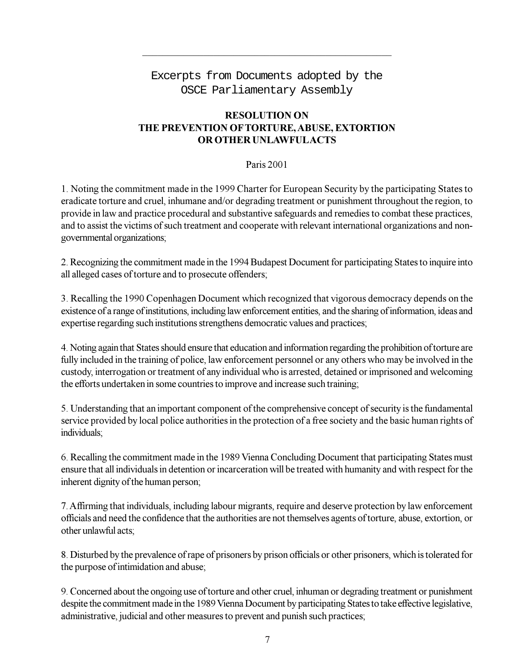Excerpts from Documents adopted by the OSCE Parliamentary Assembly

\_\_\_\_\_\_\_\_\_\_\_\_\_\_\_\_\_\_\_\_\_\_\_\_\_\_\_\_\_\_\_\_\_\_\_\_\_\_\_\_\_\_\_\_\_\_\_\_\_

# RESOLUTION ON THE PREVENTION OF TORTURE, ABUSE, EXTORTION OR OTHER UNLAWFULACTS

#### Paris 2001

1. Noting the commitment made in the 1999 Charter for European Security by the participating States to eradicate torture and cruel, inhumane and/or degrading treatment or punishment throughout the region, to provide in law and practice procedural and substantive safeguards and remedies to combat these practices, and to assist the victims of such treatment and cooperate with relevant international organizations and nongovernmental organizations;

2. Recognizing the commitment made in the 1994 Budapest Document for participating States to inquire into all alleged cases of torture and to prosecute offenders;

3. Recalling the 1990 Copenhagen Document which recognized that vigorous democracy depends on the existence of a range of institutions, including law enforcement entities, and the sharing of information, ideas and expertise regarding such institutions strengthens democratic values and practices;

4. Noting again that States should ensure that education and information regarding the prohibition of torture are fully included in the training of police, law enforcement personnel or any others who may be involved in the custody, interrogation or treatment of any individual who is arrested, detained or imprisoned and welcoming the efforts undertaken in some countries to improve and increase such training;

5. Understanding that an important component of the comprehensive concept of security is the fundamental service provided by local police authorities in the protection of a free society and the basic human rights of individuals;

6. Recalling the commitment made in the 1989 Vienna Concluding Document that participating States must ensure that all individuals in detention or incarceration will be treated with humanity and with respect for the inherent dignity of the human person;

7. Affirming that individuals, including labour migrants, require and deserve protection by law enforcement officials and need the confidence that the authorities are not themselves agents of torture, abuse, extortion, or other unlawful acts;

8. Disturbed by the prevalence of rape of prisoners by prison officials or other prisoners, which is tolerated for the purpose of intimidation and abuse;

9. Concerned about the ongoing use of torture and other cruel, inhuman or degrading treatment or punishment despite the commitment made in the 1989 Vienna Document by participating States to take effective legislative, administrative, judicial and other measures to prevent and punish such practices;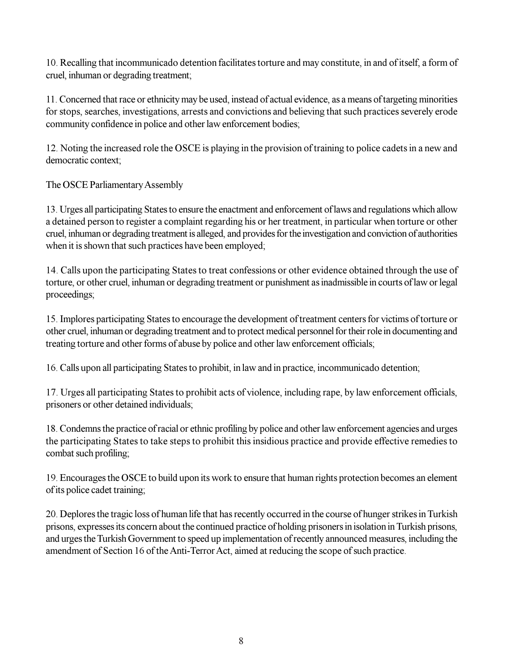10. Recalling that incommunicado detention facilitates torture and may constitute, in and of itself, a form of cruel, inhuman or degrading treatment;

11. Concerned that race or ethnicity may be used, instead of actual evidence, as a means of targeting minorities for stops, searches, investigations, arrests and convictions and believing that such practices severely erode community confidence in police and other law enforcement bodies;

12. Noting the increased role the OSCE is playing in the provision of training to police cadets in a new and democratic context;

The OSCE Parliamentary Assembly

13. Urges all participating States to ensure the enactment and enforcement of laws and regulations which allow a detained person to register a complaint regarding his or her treatment, in particular when torture or other cruel, inhuman or degrading treatment is alleged, and provides for the investigation and conviction of authorities when it is shown that such practices have been employed;

14. Calls upon the participating States to treat confessions or other evidence obtained through the use of torture, or other cruel, inhuman or degrading treatment or punishment as inadmissible in courts of law or legal proceedings;

15. Implores participating States to encourage the development of treatment centers for victims of torture or other cruel, inhuman or degrading treatment and to protect medical personnel for their role in documenting and treating torture and other forms of abuse by police and other law enforcement officials;

16. Calls upon all participating States to prohibit, in law and in practice, incommunicado detention;

17. Urges all participating States to prohibit acts of violence, including rape, by law enforcement officials, prisoners or other detained individuals;

18. Condemns the practice of racial or ethnic profiling by police and other law enforcement agencies and urges the participating States to take steps to prohibit this insidious practice and provide effective remedies to combat such profiling;

19. Encourages the OSCE to build upon its work to ensure that human rights protection becomes an element of its police cadet training;

20. Deplores the tragic loss of human life that has recently occurred in the course of hunger strikes in Turkish prisons, expresses its concern about the continued practice of holding prisoners in isolation in Turkish prisons, and urges the Turkish Government to speed up implementation of recently announced measures, including the amendment of Section 16 of the Anti-Terror Act, aimed at reducing the scope of such practice.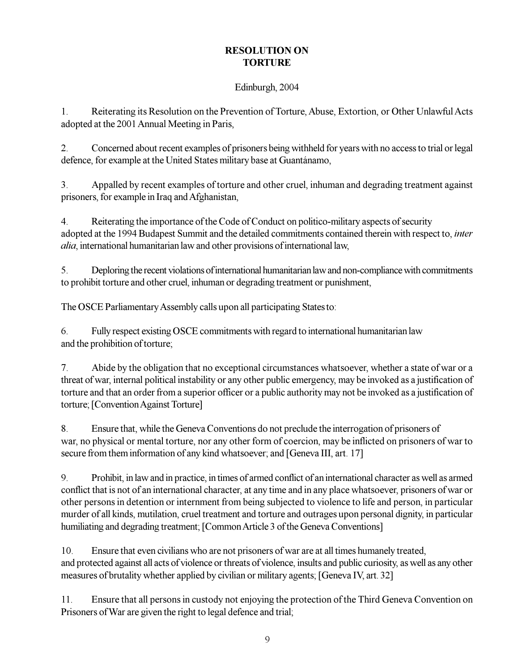## RESOLUTION ON **TORTURE**

## Edinburgh, 2004

1. Reiterating its Resolution on the Prevention of Torture, Abuse, Extortion, or Other Unlawful Acts adopted at the 2001 Annual Meeting in Paris,

2. Concerned about recent examples of prisoners being withheld for years with no access to trial or legal defence, for example at the United States military base at Guantánamo,

3. Appalled by recent examples of torture and other cruel, inhuman and degrading treatment against prisoners, for example in Iraq and Afghanistan,

4. Reiterating the importance of the Code of Conduct on politico-military aspects of security adopted at the 1994 Budapest Summit and the detailed commitments contained therein with respect to, inter alia, international humanitarian law and other provisions of international law,

5. Deploring the recent violations of international humanitarian law and non-compliance with commitments to prohibit torture and other cruel, inhuman or degrading treatment or punishment,

The OSCE Parliamentary Assembly calls upon all participating States to:

6. Fully respect existing OSCE commitments with regard to international humanitarian law and the prohibition of torture;

7. Abide by the obligation that no exceptional circumstances whatsoever, whether a state of war or a threat of war, internal political instability or any other public emergency, may be invoked as a justification of torture and that an order from a superior officer or a public authority may not be invoked as a justification of torture; [Convention Against Torture]

8. Ensure that, while the Geneva Conventions do not preclude the interrogation of prisoners of war, no physical or mental torture, nor any other form of coercion, may be inflicted on prisoners of war to secure from them information of any kind whatsoever; and [Geneva III, art. 17]

9. Prohibit, in law and in practice, in times of armed conflict of an international character as well as armed conflict that is not of an international character, at any time and in any place whatsoever, prisoners of war or other persons in detention or internment from being subjected to violence to life and person, in particular murder of all kinds, mutilation, cruel treatment and torture and outrages upon personal dignity, in particular humiliating and degrading treatment; [Common Article 3 of the Geneva Conventions]

10. Ensure that even civilians who are not prisoners of war are at all times humanely treated, and protected against all acts of violence or threats of violence, insults and public curiosity, as well as any other measures of brutality whether applied by civilian or military agents; [Geneva IV, art. 32]

11. Ensure that all persons in custody not enjoying the protection of the Third Geneva Convention on Prisoners of War are given the right to legal defence and trial;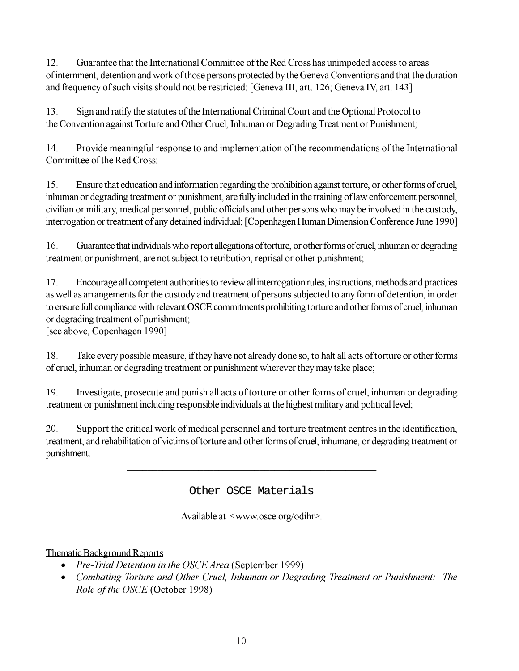12. Guarantee that the International Committee of the Red Cross has unimpeded access to areas of internment, detention and work of those persons protected by the Geneva Conventions and that the duration and frequency of such visits should not be restricted; [Geneva III, art. 126; Geneva IV, art. 143]

13. Sign and ratify the statutes of the International Criminal Court and the Optional Protocol to the Convention against Torture and Other Cruel, Inhuman or Degrading Treatment or Punishment;

14. Provide meaningful response to and implementation of the recommendations of the International Committee of the Red Cross;

15. Ensure that education and information regarding the prohibition against torture, or other forms of cruel, inhuman or degrading treatment or punishment, are fully included in the training of law enforcement personnel, civilian or military, medical personnel, public officials and other persons who may be involved in the custody, interrogation or treatment of any detained individual; [Copenhagen Human Dimension Conference June 1990]

16. Guarantee that individuals who report allegations of torture, or other forms of cruel, inhuman or degrading treatment or punishment, are not subject to retribution, reprisal or other punishment;

17. Encourage all competent authorities to review all interrogation rules, instructions, methods and practices as well as arrangements for the custody and treatment of persons subjected to any form of detention, in order to ensure full compliance with relevant OSCE commitments prohibiting torture and other forms of cruel, inhuman or degrading treatment of punishment; [see above, Copenhagen 1990]

18. Take every possible measure, if they have not already done so, to halt all acts of torture or other forms of cruel, inhuman or degrading treatment or punishment wherever they may take place;

19. Investigate, prosecute and punish all acts of torture or other forms of cruel, inhuman or degrading treatment or punishment including responsible individuals at the highest military and political level;

20. Support the critical work of medical personnel and torture treatment centres in the identification, treatment, and rehabilitation of victims of torture and other forms of cruel, inhumane, or degrading treatment or punishment.

Other OSCE Materials

Available at <www.osce.org/odihr>.

# Thematic Background Reports

- Pre-Trial Detention in the OSCE Area (September 1999)
- Combating Torture and Other Cruel, Inhuman or Degrading Treatment or Punishment: The Role of the OSCE (October 1998)